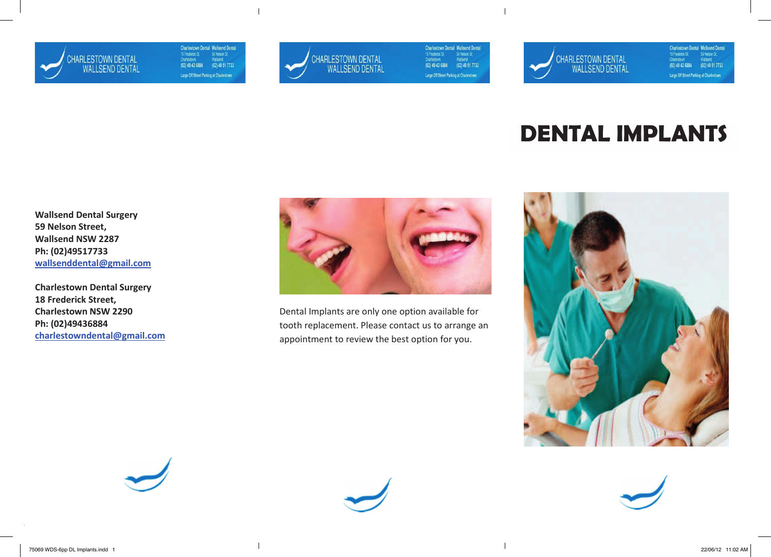

Charlestown Dental Wallsend Dental<br>
18 Frederick St, 59 Nelson St,<br>
Charlestown Wallsend<br>
(02) 49 43 6884 (02) 49 51 7733 Large Off Street Parking at Charlestown



 $\overline{1}$ 

 $\overline{1}$ 

Charlestown Dental Wallsend Dental<br>
18 Frederick St, 59 Nelson St,<br>
Charlestown Wallsend<br>
(02) 49 43 6884 (02) 49 51 7733 Large Off Street Parking at Charlestown



**Charlestown Dental Wallsend Dental<br>
18 Frederick St, 59 Nelson St, Charlestown Wallsend** 59 Nelson St,<br>Wallsend  $(02)$  49 43 6884  $(02)$  49 51 7733 Large Off Street Parking at Charlestown

# **DENTAL IMPLANTS**

Wallsend Dental Surgery 59 Nelson Street, Wallsend NSW 2287 Ph: (02)49517733 wallsenddental@gmail.com

Charlestown Dental Surgery 18 Frederick Street, Charlestown NSW 2290 Ph: (02)49436884 charlestowndental@gmail.com



Dental Implants are only one option available for tooth replacement. Please contact us to arrange an appointment to review the best option for you.